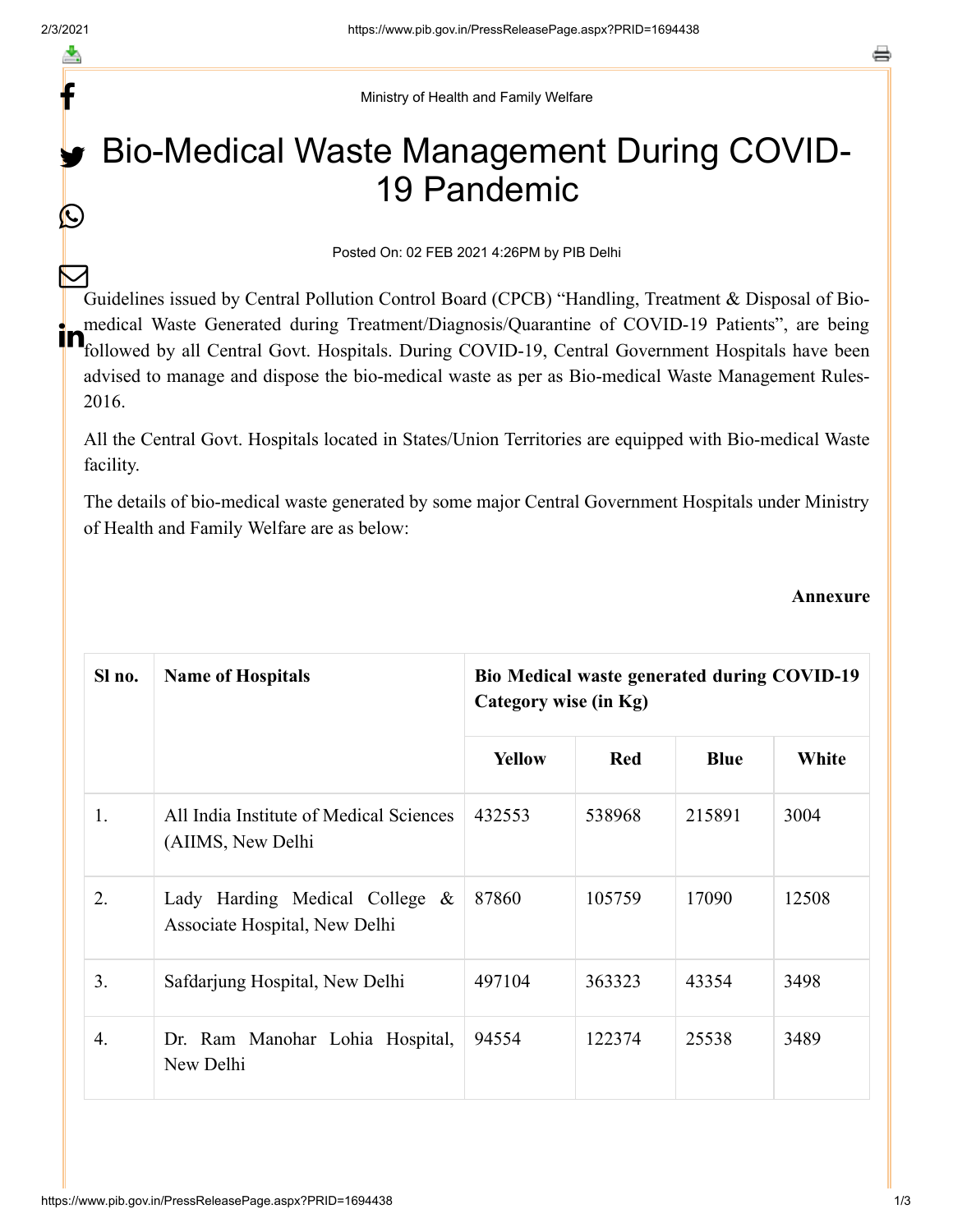f

 $\bigcirc$ 

Ministry of Health and Family Welfare

## Bio-Medical Waste Management During COVID-19 Pandemic

## Posted On: 02 FEB 2021 4:26PM by PIB Delhi

Guidelines issued by Central Pollution Control Board (CPCB) "Handling, Treatment & Disposal of Biomedical Waste Generated during Treatment/Diagnosis/Quarantine of COVID-19 Patients", are being **in** medical Waste Generated during Treatment/Diagnosis/Quarantine of COVID-19 Patients", are being<br>In followed by all Central Govt. Hospitals. During COVID-19, Central Government Hospitals have been advised to manage and dispose the bio-medical waste as per as Bio-medical Waste Management Rules-2016.  $\bm{\nabla}$ 

All the Central Govt. Hospitals located in States/Union Territories are equipped with Bio-medical Waste facility.

The details of bio-medical waste generated by some major Central Government Hospitals under Ministry of Health and Family Welfare are as below:

## **Annexure**

| Sl no. | <b>Name of Hospitals</b>                                        | <b>Bio Medical waste generated during COVID-19</b><br>Category wise (in Kg) |            |             |       |  |
|--------|-----------------------------------------------------------------|-----------------------------------------------------------------------------|------------|-------------|-------|--|
|        |                                                                 | <b>Yellow</b>                                                               | <b>Red</b> | <b>Blue</b> | White |  |
| 1.     | All India Institute of Medical Sciences<br>(AIIMS, New Delhi    | 432553                                                                      | 538968     | 215891      | 3004  |  |
| 2.     | Lady Harding Medical College &<br>Associate Hospital, New Delhi | 87860                                                                       | 105759     | 17090       | 12508 |  |
| 3.     | Safdarjung Hospital, New Delhi                                  | 497104                                                                      | 363323     | 43354       | 3498  |  |
| 4.     | Dr. Ram Manohar Lohia Hospital,<br>New Delhi                    | 94554                                                                       | 122374     | 25538       | 3489  |  |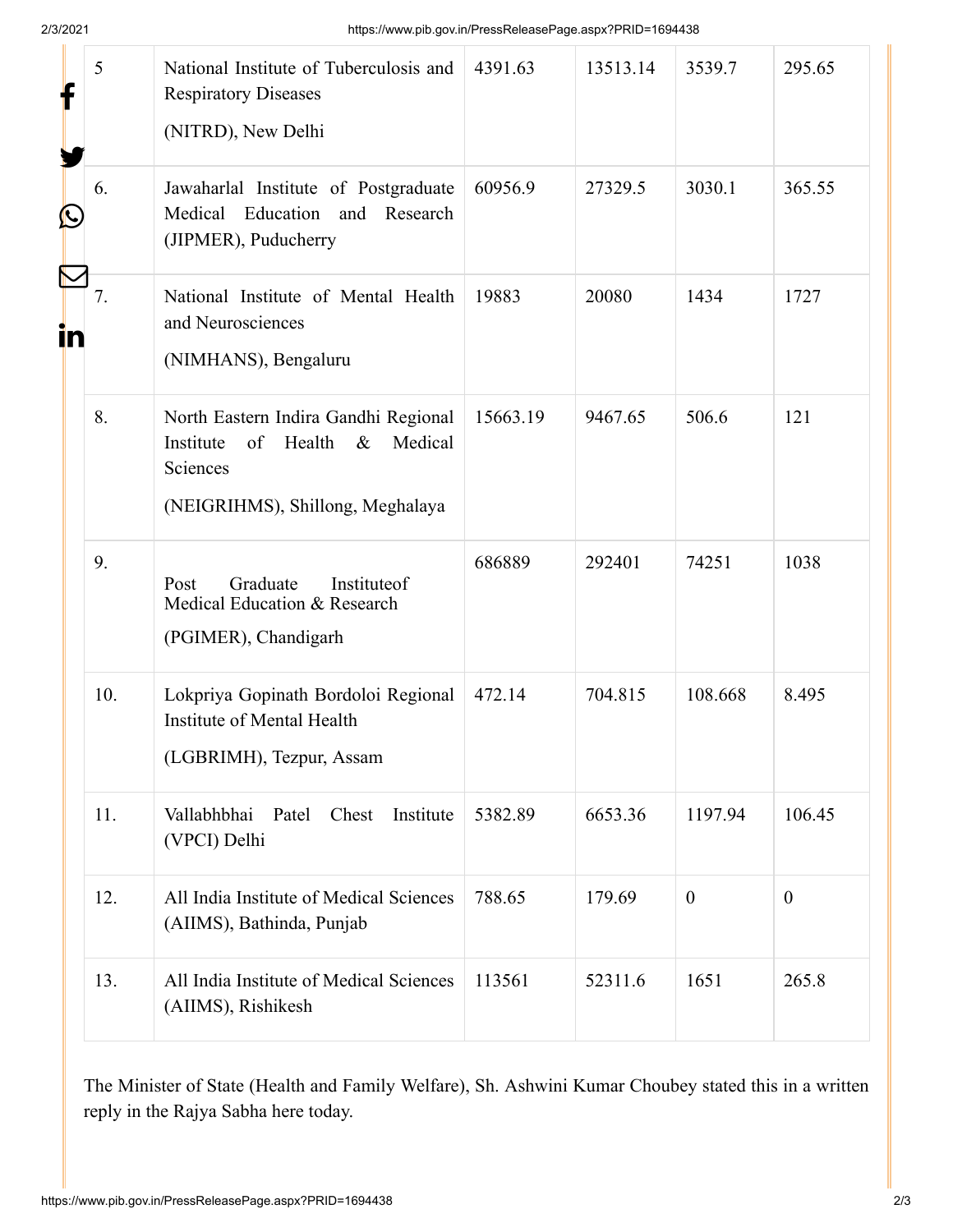|   | 5   | National Institute of Tuberculosis and<br><b>Respiratory Diseases</b><br>(NITRD), New Delhi                                          | 4391.63  | 13513.14 | 3539.7       | 295.65           |
|---|-----|--------------------------------------------------------------------------------------------------------------------------------------|----------|----------|--------------|------------------|
| Ŀ | 6.  | Jawaharlal Institute of Postgraduate<br>Medical Education and Research<br>(JIPMER), Puducherry                                       | 60956.9  | 27329.5  | 3030.1       | 365.55           |
|   | 7.  | National Institute of Mental Health<br>and Neurosciences<br>(NIMHANS), Bengaluru                                                     | 19883    | 20080    | 1434         | 1727             |
|   | 8.  | North Eastern Indira Gandhi Regional<br>Health<br>Medical<br>Institute<br>of<br>$\&$<br>Sciences<br>(NEIGRIHMS), Shillong, Meghalaya | 15663.19 | 9467.65  | 506.6        | 121              |
|   | 9.  | Graduate<br>Instituteof<br>Post<br>Medical Education & Research<br>(PGIMER), Chandigarh                                              | 686889   | 292401   | 74251        | 1038             |
|   | 10. | Lokpriya Gopinath Bordoloi Regional<br>Institute of Mental Health<br>(LGBRIMH), Tezpur, Assam                                        | 472.14   | 704.815  | 108.668      | 8.495            |
|   | 11. | Institute<br>Vallabhbhai<br>Patel<br>Chest<br>(VPCI) Delhi                                                                           | 5382.89  | 6653.36  | 1197.94      | 106.45           |
|   | 12. | All India Institute of Medical Sciences<br>(AIIMS), Bathinda, Punjab                                                                 | 788.65   | 179.69   | $\mathbf{0}$ | $\boldsymbol{0}$ |
|   | 13. | All India Institute of Medical Sciences<br>(AIIMS), Rishikesh                                                                        | 113561   | 52311.6  | 1651         | 265.8            |
|   |     |                                                                                                                                      |          |          |              |                  |

The Minister of State (Health and Family Welfare), Sh. Ashwini Kumar Choubey stated this in a written reply in the Rajya Sabha here today.